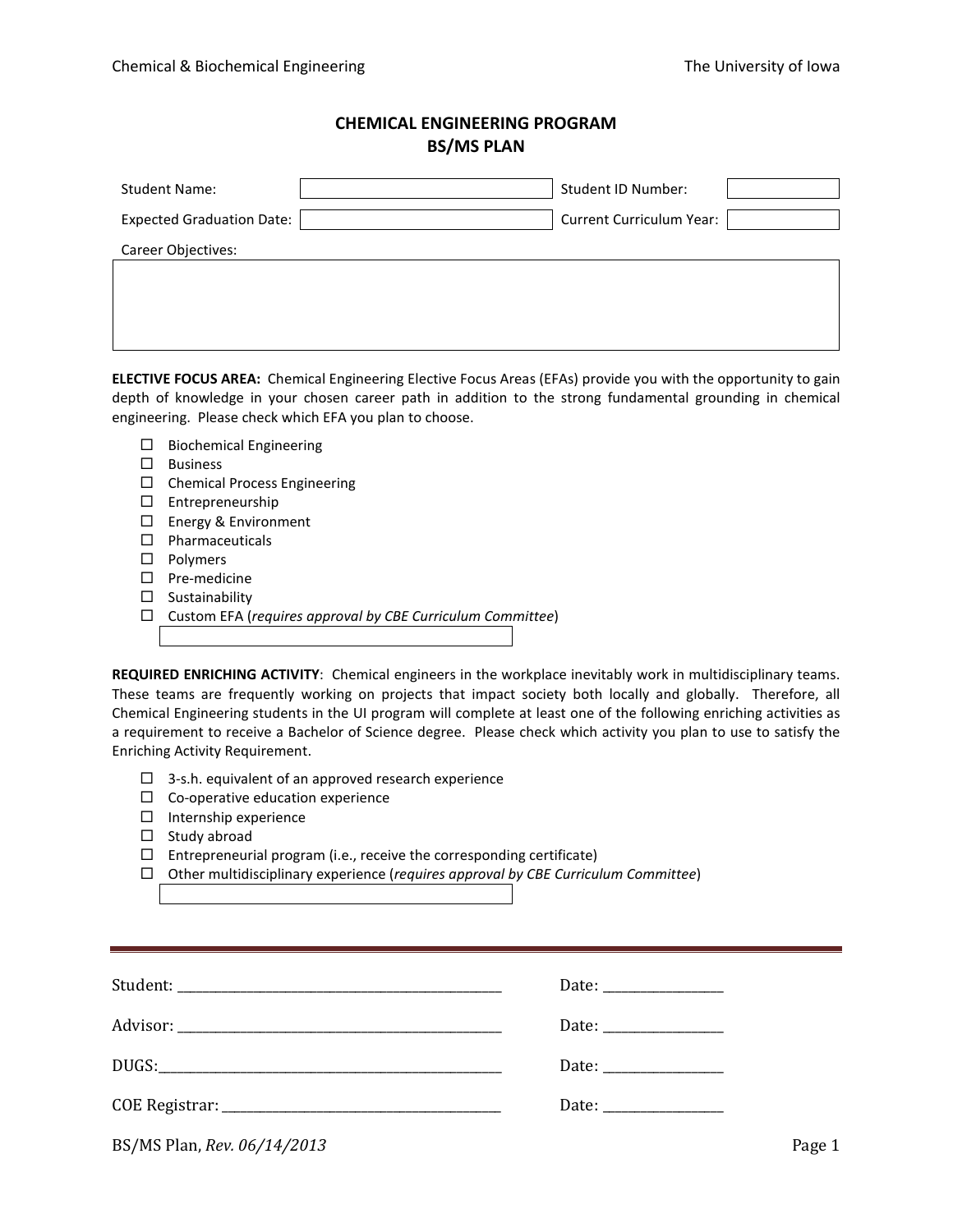## **CHEMICAL ENGINEERING PROGRAM BS/MS PLAN**

| <b>Student Name:</b>             | Student ID Number:              |  |
|----------------------------------|---------------------------------|--|
| <b>Expected Graduation Date:</b> | <b>Current Curriculum Year:</b> |  |
| Career Objectives:               |                                 |  |
|                                  |                                 |  |
|                                  |                                 |  |
|                                  |                                 |  |

**ELECTIVE FOCUS AREA:** Chemical Engineering Elective Focus Areas (EFAs) provide you with the opportunity to gain depth of knowledge in your chosen career path in addition to the strong fundamental grounding in chemical engineering. Please check which EFA you plan to choose.

- $\square$  Biochemical Engineering
- $\square$  Business
- $\square$  Chemical Process Engineering
- Entrepreneurship
- □ Energy & Environment
- $\square$  Pharmaceuticals
- □ Polymers
- $\square$  Pre-medicine
- $\square$  Sustainability
- Custom EFA (*requires approval by CBE Curriculum Committee*)

**REQUIRED ENRICHING ACTIVITY**: Chemical engineers in the workplace inevitably work in multidisciplinary teams. These teams are frequently working on projects that impact society both locally and globally. Therefore, all Chemical Engineering students in the UI program will complete at least one of the following enriching activities as a requirement to receive a Bachelor of Science degree. Please check which activity you plan to use to satisfy the Enriching Activity Requirement.

- $\Box$  3-s.h. equivalent of an approved research experience
- $\Box$  Co-operative education experience
- $\Box$  Internship experience
- $\square$  Study abroad
- $\Box$  Entrepreneurial program (i.e., receive the corresponding certificate)
- Other multidisciplinary experience (*requires approval by CBE Curriculum Committee*)

| BS/MS Plan, Rev. 06/14/2013 | Page 1 |
|-----------------------------|--------|
|-----------------------------|--------|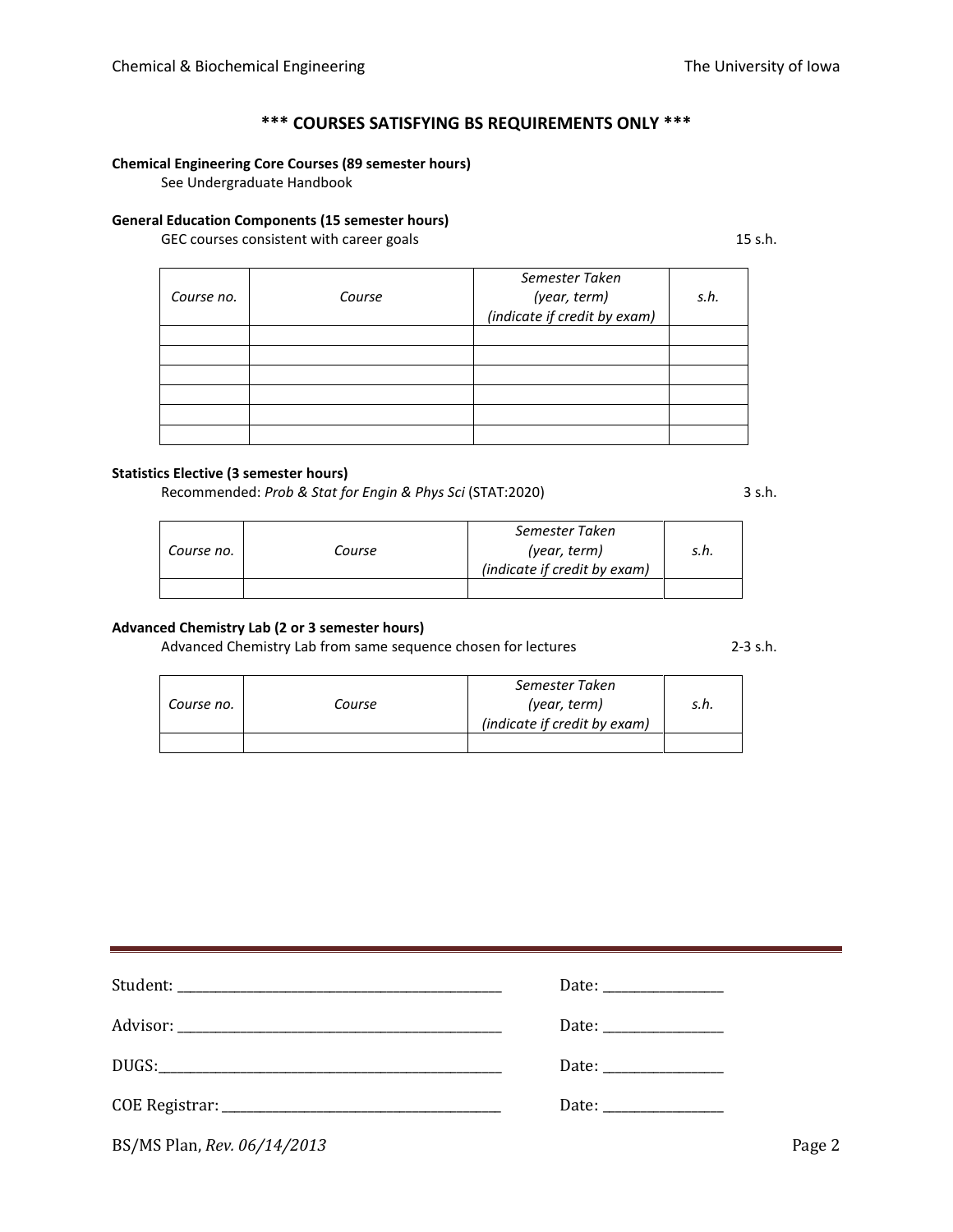# **\*\*\* COURSES SATISFYING BS REQUIREMENTS ONLY \*\*\***

## **Chemical Engineering Core Courses (89 semester hours)**

See Undergraduate Handbook

## **General Education Components (15 semester hours)**

GEC courses consistent with career goals 15 s.h.

| Course no. | Course | Semester Taken<br>(year, term)<br>(indicate if credit by exam) | s.h. |
|------------|--------|----------------------------------------------------------------|------|
|            |        |                                                                |      |
|            |        |                                                                |      |
|            |        |                                                                |      |
|            |        |                                                                |      |
|            |        |                                                                |      |
|            |        |                                                                |      |

## **Statistics Elective (3 semester hours)**

L.

Recommended: *Prob & Stat for Engin & Phys Sci* (STAT:2020) 3 s.h.

*Course no. Course Semester Taken (year, term) (indicate if credit by exam) s.h.*

## **Advanced Chemistry Lab (2 or 3 semester hours)**

Advanced Chemistry Lab from same sequence chosen for lectures 2-3 s.h.

|            |        | Semester Taken               |      |
|------------|--------|------------------------------|------|
| Course no. | Course | (year, term)                 | s.h. |
|            |        | (indicate if credit by exam) |      |
|            |        |                              |      |

| BS/MS Plan, Rev. 06/14/2013 | Page 2 |
|-----------------------------|--------|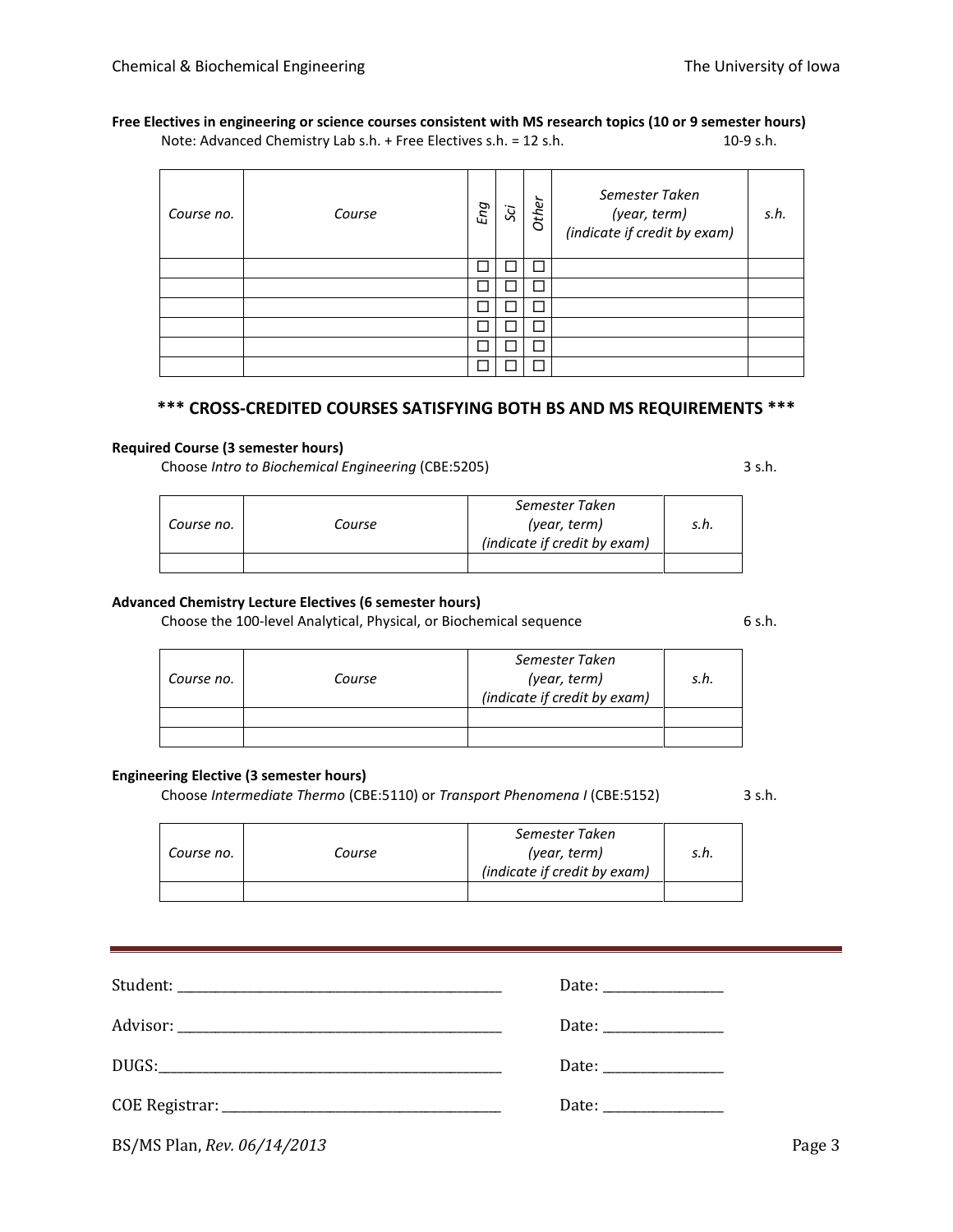#### **Free Electives in engineering or science courses consistent with MS research topics (10 or 9 semester hours)** Note: Advanced Chemistry Lab s.h. + Free Electives s.h. = 12 s.h. 10-9 s.h. 10-9 s.h.

| Course no. | Course | Eng | Sci | Other | Semester Taken<br>(year, term)<br>(indicate if credit by exam) | s.h. |
|------------|--------|-----|-----|-------|----------------------------------------------------------------|------|
|            |        |     |     | ┓     |                                                                |      |
|            |        |     |     | ٦     |                                                                |      |
|            |        |     |     |       |                                                                |      |
|            |        |     |     | ┓     |                                                                |      |
|            |        |     |     |       |                                                                |      |
|            |        |     |     |       |                                                                |      |

## **\*\*\* CROSS-CREDITED COURSES SATISFYING BOTH BS AND MS REQUIREMENTS \*\*\***

#### **Required Course (3 semester hours)**

Choose *Intro to Biochemical Engineering* (CBE:5205) 3 s.h.

*Course no. Course Semester Taken (year, term) (indicate if credit by exam) s.h.*

## **Advanced Chemistry Lecture Electives (6 semester hours)**

Choose the 100-level Analytical, Physical, or Biochemical sequence 6 s.h.

| Course no. | Course | Semester Taken<br>(year, term)<br>(indicate if credit by exam) | s.h. |
|------------|--------|----------------------------------------------------------------|------|
|            |        |                                                                |      |
|            |        |                                                                |      |

## **Engineering Elective (3 semester hours)**

Choose *Intermediate Thermo* (CBE:5110) or *Transport Phenomena I* (CBE:5152) 3 s.h.

| Course no. | Course | Semester Taken<br>(year, term)<br>(indicate if credit by exam) | s.h. |
|------------|--------|----------------------------------------------------------------|------|
|            |        |                                                                |      |